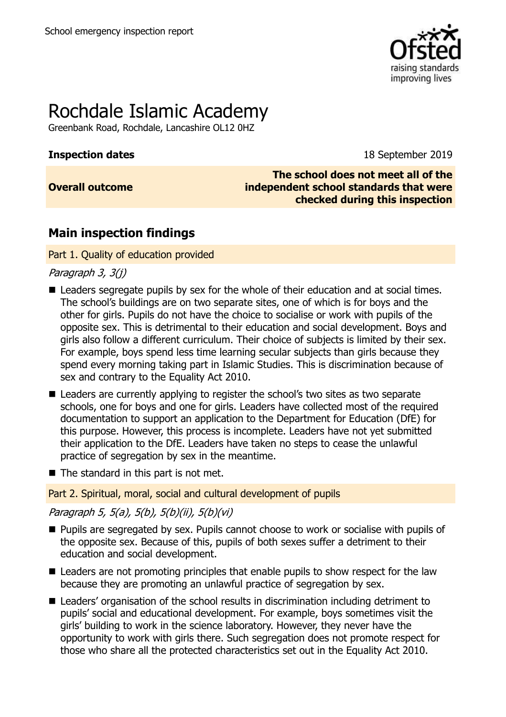

# Rochdale Islamic Academy

Greenbank Road, Rochdale, Lancashire OL12 0HZ

**Inspection dates** 18 September 2019

**Overall outcome**

**The school does not meet all of the independent school standards that were checked during this inspection**

## **Main inspection findings**

## Part 1. Quality of education provided

Paragraph 3, 3(j)

- Leaders segregate pupils by sex for the whole of their education and at social times. The school's buildings are on two separate sites, one of which is for boys and the other for girls. Pupils do not have the choice to socialise or work with pupils of the opposite sex. This is detrimental to their education and social development. Boys and girls also follow a different curriculum. Their choice of subjects is limited by their sex. For example, boys spend less time learning secular subjects than girls because they spend every morning taking part in Islamic Studies. This is discrimination because of sex and contrary to the Equality Act 2010.
- Leaders are currently applying to register the school's two sites as two separate schools, one for boys and one for girls. Leaders have collected most of the required documentation to support an application to the Department for Education (DfE) for this purpose. However, this process is incomplete. Leaders have not yet submitted their application to the DfE. Leaders have taken no steps to cease the unlawful practice of segregation by sex in the meantime.
- $\blacksquare$  The standard in this part is not met.

## Part 2. Spiritual, moral, social and cultural development of pupils

## Paragraph 5, 5(a), 5(b), 5(b)(ii), 5(b)(vi)

- **Pupils are segregated by sex. Pupils cannot choose to work or socialise with pupils of** the opposite sex. Because of this, pupils of both sexes suffer a detriment to their education and social development.
- Leaders are not promoting principles that enable pupils to show respect for the law because they are promoting an unlawful practice of segregation by sex.
- Leaders' organisation of the school results in discrimination including detriment to pupils' social and educational development. For example, boys sometimes visit the girls' building to work in the science laboratory. However, they never have the opportunity to work with girls there. Such segregation does not promote respect for those who share all the protected characteristics set out in the Equality Act 2010.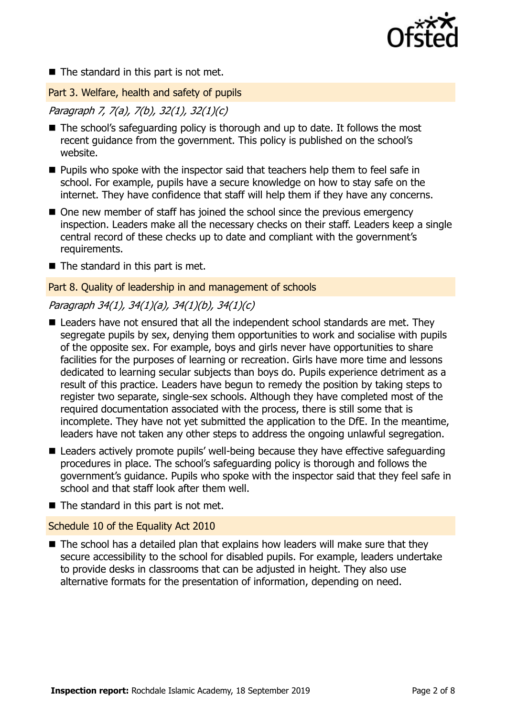

 $\blacksquare$  The standard in this part is not met.

Part 3. Welfare, health and safety of pupils

Paragraph 7, 7(a), 7(b), 32(1), 32(1)(c)

- The school's safeguarding policy is thorough and up to date. It follows the most recent guidance from the government. This policy is published on the school's website.
- **Pupils who spoke with the inspector said that teachers help them to feel safe in** school. For example, pupils have a secure knowledge on how to stay safe on the internet. They have confidence that staff will help them if they have any concerns.
- One new member of staff has joined the school since the previous emergency inspection. Leaders make all the necessary checks on their staff. Leaders keep a single central record of these checks up to date and compliant with the government's requirements.
- $\blacksquare$  The standard in this part is met.

#### Part 8. Quality of leadership in and management of schools

## Paragraph 34(1), 34(1)(a), 34(1)(b), 34(1)(c)

- Leaders have not ensured that all the independent school standards are met. They segregate pupils by sex, denying them opportunities to work and socialise with pupils of the opposite sex. For example, boys and girls never have opportunities to share facilities for the purposes of learning or recreation. Girls have more time and lessons dedicated to learning secular subjects than boys do. Pupils experience detriment as a result of this practice. Leaders have begun to remedy the position by taking steps to register two separate, single-sex schools. Although they have completed most of the required documentation associated with the process, there is still some that is incomplete. They have not yet submitted the application to the DfE. In the meantime, leaders have not taken any other steps to address the ongoing unlawful segregation.
- Leaders actively promote pupils' well-being because they have effective safeguarding procedures in place. The school's safeguarding policy is thorough and follows the government's guidance. Pupils who spoke with the inspector said that they feel safe in school and that staff look after them well.
- $\blacksquare$  The standard in this part is not met.

## Schedule 10 of the Equality Act 2010

 $\blacksquare$  The school has a detailed plan that explains how leaders will make sure that they secure accessibility to the school for disabled pupils. For example, leaders undertake to provide desks in classrooms that can be adjusted in height. They also use alternative formats for the presentation of information, depending on need.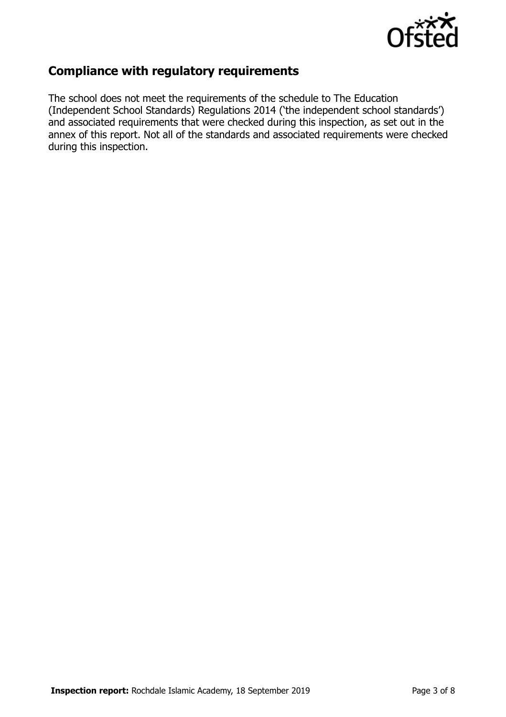

## **Compliance with regulatory requirements**

The school does not meet the requirements of the schedule to The Education (Independent School Standards) Regulations 2014 ('the independent school standards') and associated requirements that were checked during this inspection, as set out in the annex of this report. Not all of the standards and associated requirements were checked during this inspection.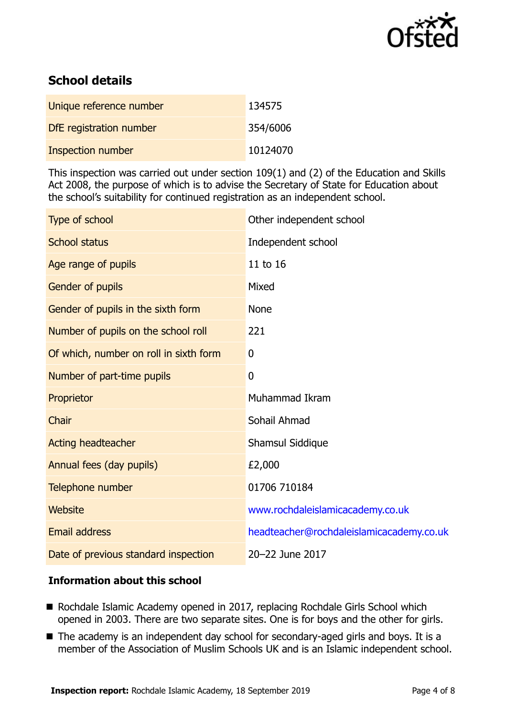

## **School details**

| Unique reference number  | 134575   |
|--------------------------|----------|
| DfE registration number  | 354/6006 |
| <b>Inspection number</b> | 10124070 |

This inspection was carried out under section 109(1) and (2) of the Education and Skills Act 2008, the purpose of which is to advise the Secretary of State for Education about the school's suitability for continued registration as an independent school.

| Type of school                         | Other independent school                 |
|----------------------------------------|------------------------------------------|
| <b>School status</b>                   | Independent school                       |
| Age range of pupils                    | 11 to 16                                 |
| Gender of pupils                       | Mixed                                    |
| Gender of pupils in the sixth form     | <b>None</b>                              |
| Number of pupils on the school roll    | 221                                      |
| Of which, number on roll in sixth form | 0                                        |
| Number of part-time pupils             | $\mathbf 0$                              |
| Proprietor                             | Muhammad Ikram                           |
| Chair                                  | Sohail Ahmad                             |
| Acting headteacher                     | Shamsul Siddique                         |
| Annual fees (day pupils)               | £2,000                                   |
| Telephone number                       | 01706 710184                             |
| Website                                | www.rochdaleislamicacademy.co.uk         |
| <b>Email address</b>                   | headteacher@rochdaleislamicacademy.co.uk |
| Date of previous standard inspection   | 20-22 June 2017                          |

## **Information about this school**

- Rochdale Islamic Academy opened in 2017, replacing Rochdale Girls School which opened in 2003. There are two separate sites. One is for boys and the other for girls.
- The academy is an independent day school for secondary-aged girls and boys. It is a member of the Association of Muslim Schools UK and is an Islamic independent school.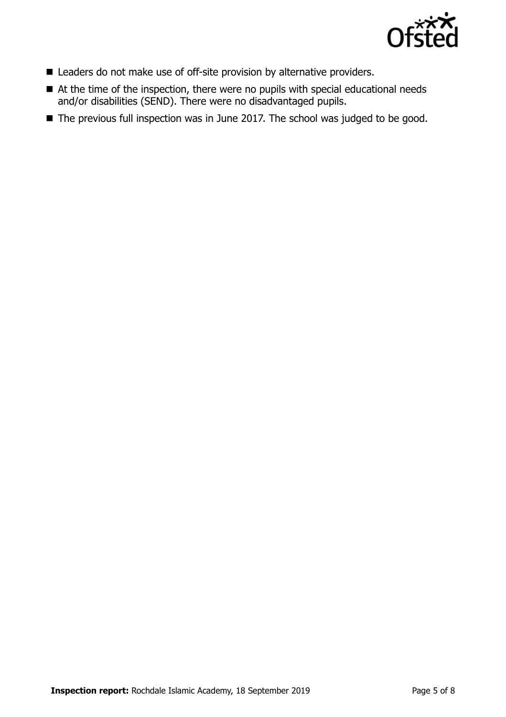

- Leaders do not make use of off-site provision by alternative providers.
- At the time of the inspection, there were no pupils with special educational needs and/or disabilities (SEND). There were no disadvantaged pupils.
- The previous full inspection was in June 2017. The school was judged to be good.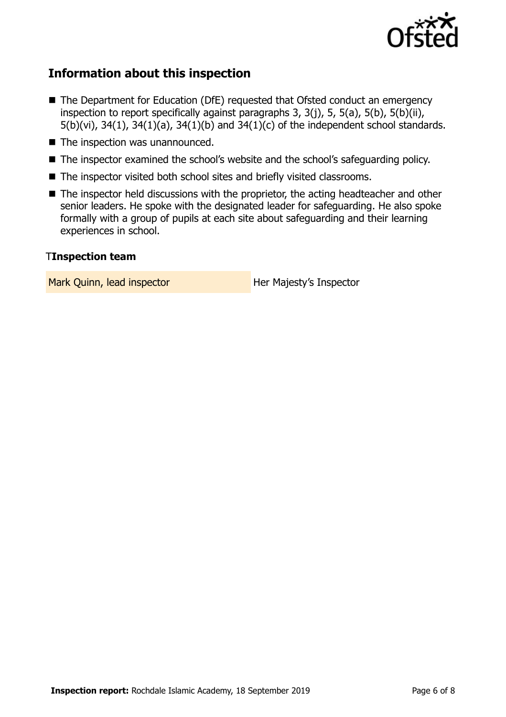

## **Information about this inspection**

- The Department for Education (DfE) requested that Ofsted conduct an emergency inspection to report specifically against paragraphs 3, 3(j), 5, 5(a), 5(b), 5(b)(ii), 5(b)(vi), 34(1), 34(1)(a), 34(1)(b) and 34(1)(c) of the independent school standards.
- The inspection was unannounced.
- The inspector examined the school's website and the school's safeguarding policy.
- The inspector visited both school sites and briefly visited classrooms.
- The inspector held discussions with the proprietor, the acting headteacher and other senior leaders. He spoke with the designated leader for safeguarding. He also spoke formally with a group of pupils at each site about safeguarding and their learning experiences in school.

#### T**Inspection team**

Mark Quinn, lead inspector **Her Majesty's Inspector**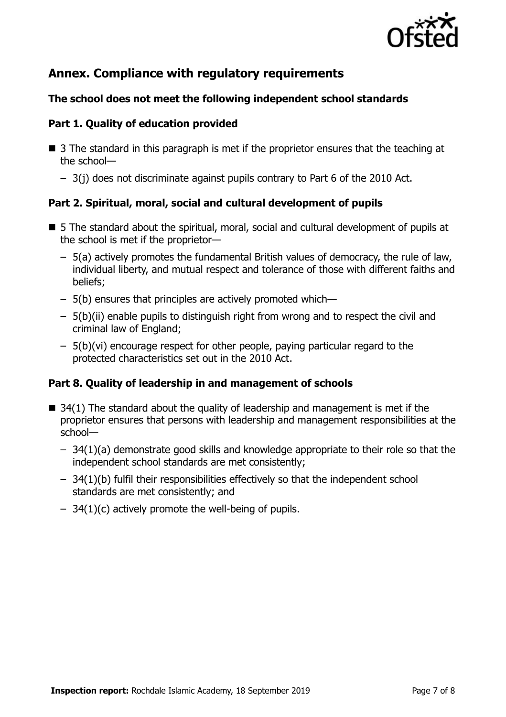

## **Annex. Compliance with regulatory requirements**

## **The school does not meet the following independent school standards**

## **Part 1. Quality of education provided**

- 3 The standard in this paragraph is met if the proprietor ensures that the teaching at the school—
	- 3(j) does not discriminate against pupils contrary to Part 6 of the 2010 Act.

## **Part 2. Spiritual, moral, social and cultural development of pupils**

- 5 The standard about the spiritual, moral, social and cultural development of pupils at the school is met if the proprietor—
	- 5(a) actively promotes the fundamental British values of democracy, the rule of law, individual liberty, and mutual respect and tolerance of those with different faiths and beliefs;
	- 5(b) ensures that principles are actively promoted which—
	- 5(b)(ii) enable pupils to distinguish right from wrong and to respect the civil and criminal law of England;
	- 5(b)(vi) encourage respect for other people, paying particular regard to the protected characteristics set out in the 2010 Act.

## **Part 8. Quality of leadership in and management of schools**

- $\blacksquare$  34(1) The standard about the quality of leadership and management is met if the proprietor ensures that persons with leadership and management responsibilities at the school—
	- 34(1)(a) demonstrate good skills and knowledge appropriate to their role so that the independent school standards are met consistently;
	- 34(1)(b) fulfil their responsibilities effectively so that the independent school standards are met consistently; and
	- $-$  34(1)(c) actively promote the well-being of pupils.